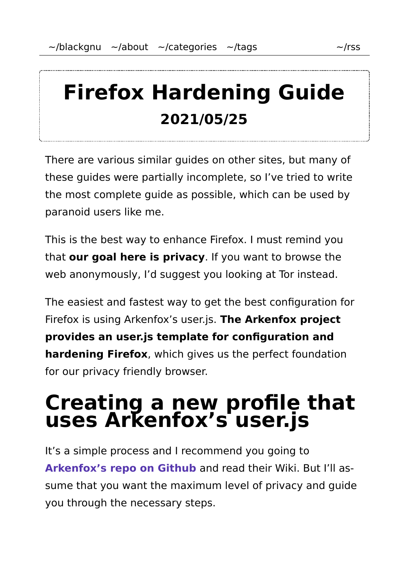# **Firefox Hardening Guide 2021/05/25**

There are various similar guides on other sites, but many of these guides were partially incomplete, so I've tried to write the most complete guide as possible, which can be used by paranoid users like me.

This is the best way to enhance Firefox. I must remind you that **our goal here is privacy**. If you want to browse the web anonymously, I'd suggest you looking at Tor instead.

The easiest and fastest way to get the best configuration for Firefox is using Arkenfox's user.js. **The Arkenfox project provides an user.js template for configuration and hardening Firefox**, which gives us the perfect foundation for our privacy friendly browser.

## **Creating a new profile that uses Arkenfox's user.js**

It's a simple process and I recommend you going to **Arkenfox's repo on Github** and read their Wiki. But I'll as‐ sume that you want the maximum level of privacy and guide you through the necessary steps.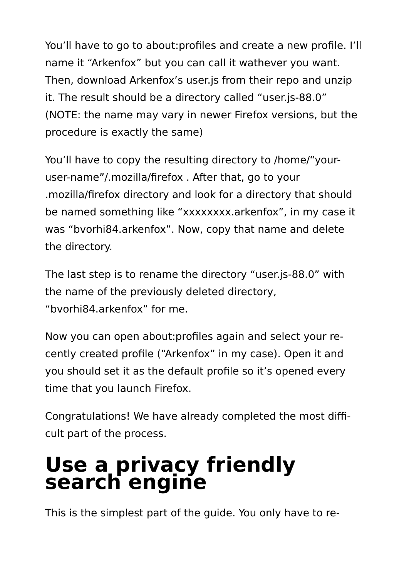You'll have to go to about: profiles and create a new profile. I'll name it "Arkenfox" but you can call it wathever you want. Then, download Arkenfox's user.js from their repo and unzip it. The result should be a directory called "user.js-88.0" (NOTE: the name may vary in newer Firefox versions, but the procedure is exactly the same)

You'll have to copy the resulting directory to /home/"youruser-name"/.mozilla/firefox . After that, go to your .mozilla/firefox directory and look for a directory that should be named something like "xxxxxxxx.arkenfox", in my case it was "bvorhi84.arkenfox". Now, copy that name and delete the directory.

The last step is to rename the directory "user.js-88.0" with the name of the previously deleted directory, "bvorhi84.arkenfox" for me.

Now you can open about:profiles again and select your re‐ cently created profile ("Arkenfox" in my case). Open it and you should set it as the default profile so it's opened every time that you launch Firefox.

Congratulations! We have already completed the most diffi‐ cult part of the process.

## **Use a privacy friendly search engine**

This is the simplest part of the guide. You only have to re‐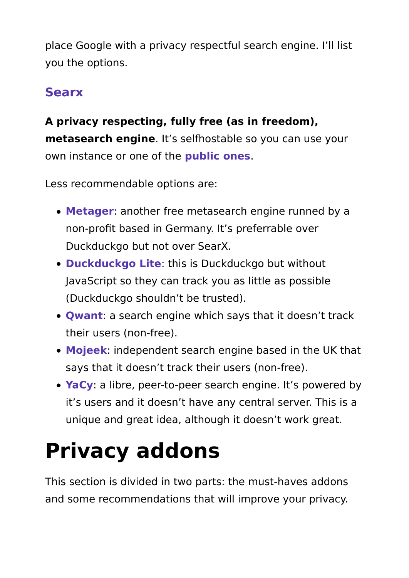place Google with a privacy respectful search engine. I'll list you the options.

### **Searx**

#### **A privacy respecting, fully free (as in freedom), metasearch engine**. It's selfhostable so you can use your own instance or one of the **public ones**.

Less recommendable options are:

- **Metager**: another free metasearch engine runned by a non-profit based in Germany. It's preferrable over Duckduckgo but not over SearX.
- **Duckduckgo Lite**: this is Duckduckgo but without JavaScript so they can track you as little as possible (Duckduckgo shouldn't be trusted).
- **Qwant**: a search engine which says that it doesn't track their users (non-free).
- **Mojeek**: independent search engine based in the UK that says that it doesn't track their users (non-free).
- **YaCy**: a libre, peer-to-peer search engine. It's powered by it's users and it doesn't have any central server. This is a unique and great idea, although it doesn't work great.

# **Privacy addons**

This section is divided in two parts: the must-haves addons and some recommendations that will improve your privacy.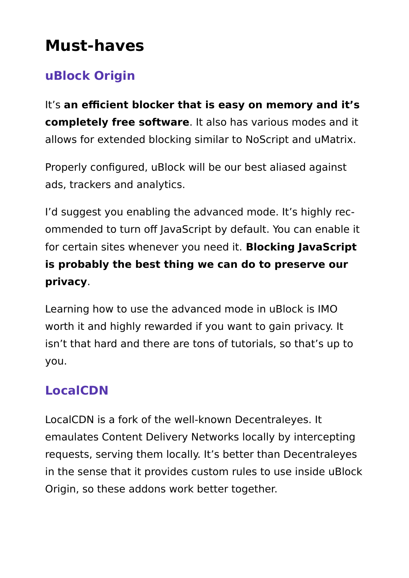## **Must-haves**

### **uBlock Origin**

It's **an efficient blocker that is easy on memory and it's completely free software**. It also has various modes and it allows for extended blocking similar to NoScript and uMatrix.

Properly configured, uBlock will be our best aliased against ads, trackers and analytics.

I'd suggest you enabling the advanced mode. It's highly rec‐ ommended to turn off JavaScript by default. You can enable it for certain sites whenever you need it. **Blocking JavaScript is probably the best thing we can do to preserve our privacy**.

Learning how to use the advanced mode in uBlock is IMO worth it and highly rewarded if you want to gain privacy. It isn't that hard and there are tons of tutorials, so that's up to you.

### **LocalCDN**

LocalCDN is a fork of the well-known Decentraleyes. It emaulates Content Delivery Networks locally by intercepting requests, serving them locally. It's better than Decentraleyes in the sense that it provides custom rules to use inside uBlock Origin, so these addons work better together.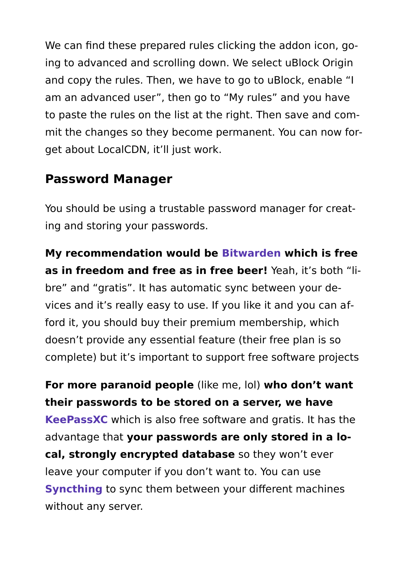We can find these prepared rules clicking the addon icon, going to advanced and scrolling down. We select uBlock Origin and copy the rules. Then, we have to go to uBlock, enable "I am an advanced user", then go to "My rules" and you have to paste the rules on the list at the right. Then save and com‐ mit the changes so they become permanent. You can now for‐ get about LocalCDN, it'll just work.

#### **Password Manager**

You should be using a trustable password manager for creat‐ ing and storing your passwords.

**My recommendation would be Bitwarden which is free as in freedom and free as in free beer!** Yeah, it's both "li‐ bre" and "gratis". It has automatic sync between your de‐ vices and it's really easy to use. If you like it and you can aff‐ ford it, you should buy their premium membership, which doesn't provide any essential feature (their free plan is so complete) but it's important to support free software projects

**For more paranoid people** (like me, lol) **who don't want their passwords to be stored on a server, we have KeePassXC** which is also free software and gratis. It has the advantage that **your passwords are only stored in a lo‐ cal, strongly encrypted database** so they won't ever leave your computer if you don't want to. You can use **Syncthing** to sync them between your different machines without any server.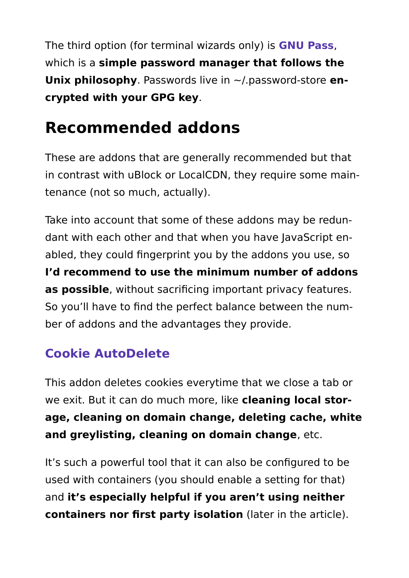The third option (for terminal wizards only) is **GNU Pass**, which is a **simple password manager that follows the Unix philosophy**. Passwords live in ~/.password-store **en‐ crypted with your GPG key**.

## **Recommended addons**

These are addons that are generally recommended but that in contrast with uBlock or LocalCDN, they require some main‐ tenance (not so much, actually).

Take into account that some of these addons may be redun‐ dant with each other and that when you have JavaScript en‐ abled, they could fingerprint you by the addons you use, so **I'd recommend to use the minimum number of addons as possible**, without sacrificing important privacy features. So you'll have to find the perfect balance between the num‐ ber of addons and the advantages they provide.

### **Cookie AutoDelete**

This addon deletes cookies everytime that we close a tab or we exit. But it can do much more, like **cleaning local stor‐ age, cleaning on domain change, deleting cache, white and greylisting, cleaning on domain change**, etc.

It's such a powerful tool that it can also be configured to be used with containers (you should enable a setting for that) and **it's especially helpful if you aren't using neither containers nor first party isolation** (later in the article).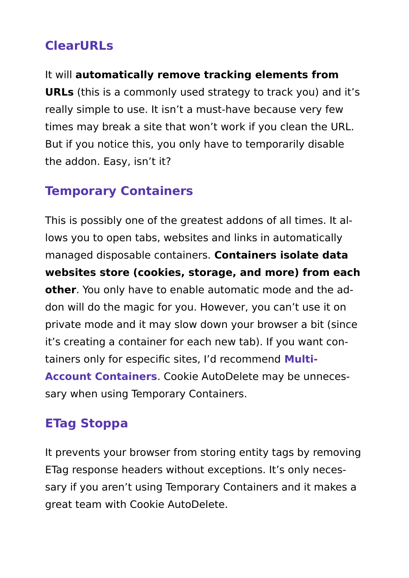### **ClearURLs**

It will **automatically remove tracking elements from URLs** (this is a commonly used strategy to track you) and it's really simple to use. It isn't a must-have because very few times may break a site that won't work if you clean the URL. But if you notice this, you only have to temporarily disable the addon. Easy, isn't it?

### **Temporary Containers**

This is possibly one of the greatest addons of all times. It al‐ lows you to open tabs, websites and links in automatically managed disposable containers. **Containers isolate data websites store (cookies, storage, and more) from each other**. You only have to enable automatic mode and the ad‐ don will do the magic for you. However, you can't use it on private mode and it may slow down your browser a bit (since it's creating a container for each new tab). If you want con‐ tainers only for especific sites, I'd recommend **Multi-Account Containers**. Cookie AutoDelete may be unneces‐ sary when using Temporary Containers.

### **ETag Stoppa**

It prevents your browser from storing entity tags by removing ETag response headers without exceptions. It's only neces‐ sary if you aren't using Temporary Containers and it makes a great team with Cookie AutoDelete.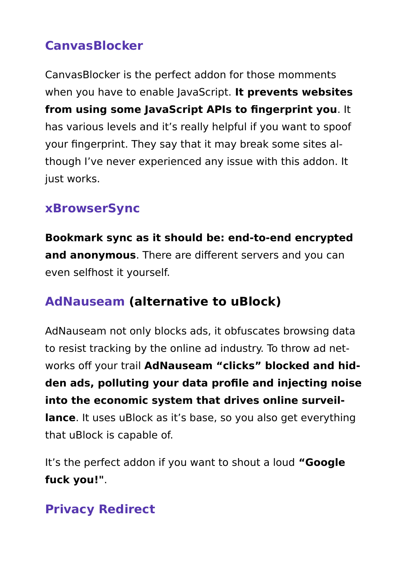### **CanvasBlocker**

CanvasBlocker is the perfect addon for those momments when you have to enable JavaScript. **It prevents websites from using some JavaScript APIs to fingerprint you**. It has various levels and it's really helpful if you want to spoof your fingerprint. They say that it may break some sites al‐ though I've never experienced any issue with this addon. It just works.

#### **xBrowserSync**

**Bookmark sync as it should be: end-to-end encrypted and anonymous**. There are different servers and you can even selfhost it yourself.

### **AdNauseam (alternative to uBlock)**

AdNauseam not only blocks ads, it obfuscates browsing data to resist tracking by the online ad industry. To throw ad net‐ works off your trail **AdNauseam "clicks" blocked and hid‐ den ads, polluting your data profile and injecting noise into the economic system that drives online surveil‐ lance**. It uses uBlock as it's base, so you also get everything that uBlock is capable of.

It's the perfect addon if you want to shout a loud **"Google fuck you!"**.

### **Privacy Redirect**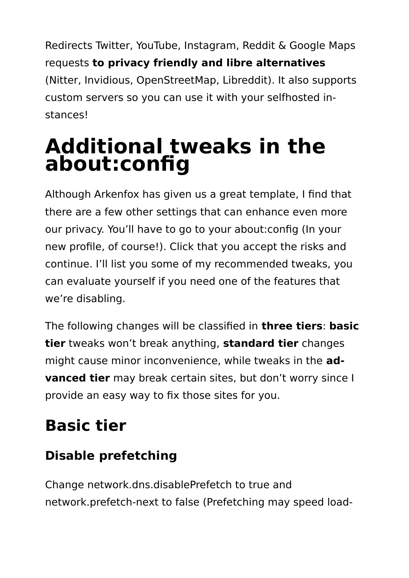Redirects Twitter, YouTube, Instagram, Reddit & Google Maps requests **to privacy friendly and libre alternatives** (Nitter, Invidious, OpenStreetMap, Libreddit). It also supports custom servers so you can use it with your selfhosted in‐ stances!

## **Additional tweaks in the about:config**

Although Arkenfox has given us a great template, I find that there are a few other settings that can enhance even more our privacy. You'll have to go to your about:config (In your new profile, of course!). Click that you accept the risks and continue. I'll list you some of my recommended tweaks, you can evaluate yourself if you need one of the features that we're disabling.

The following changes will be classified in **three tiers**: **basic tier** tweaks won't break anything, **standard tier** changes might cause minor inconvenience, while tweaks in the **ad‐ vanced tier** may break certain sites, but don't worry since I provide an easy way to fix those sites for you.

## **Basic tier**

## **Disable prefetching**

Change network.dns.disablePrefetch to true and network.prefetch-next to false (Prefetching may speed load‐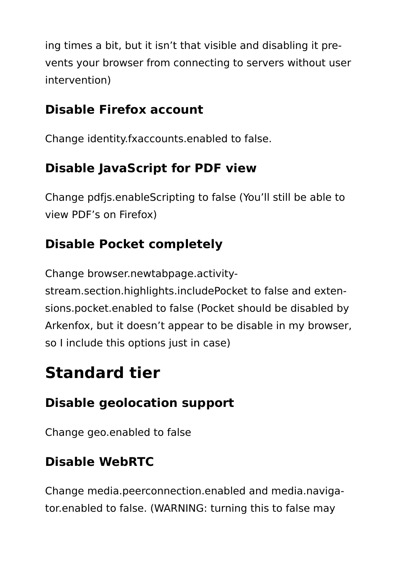ing times a bit, but it isn't that visible and disabling it pre‐ vents your browser from connecting to servers without user intervention)

### **Disable Firefox account**

Change identity.fxaccounts.enabled to false.

### **Disable JavaScript for PDF view**

Change pdfjs.enableScripting to false (You'll still be able to view PDF's on Firefox)

### **Disable Pocket completely**

Change browser.newtabpage.activity-

stream.section.highlights.includePocket to false and exten‐ sions.pocket.enabled to false (Pocket should be disabled by Arkenfox, but it doesn't appear to be disable in my browser, so I include this options just in case)

## **Standard tier**

### **Disable geolocation support**

Change geo.enabled to false

## **Disable WebRTC**

Change media.peerconnection.enabled and media.naviga‐ tor.enabled to false. (WARNING: turning this to false may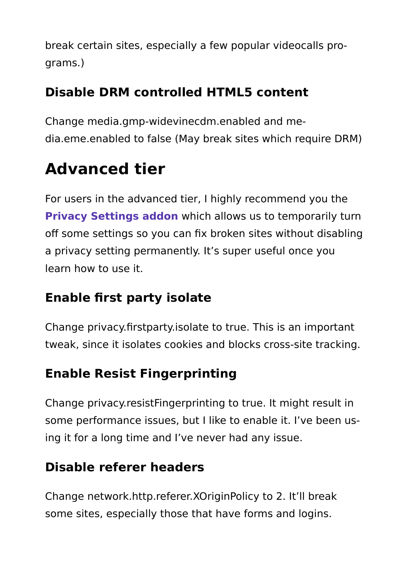break certain sites, especially a few popular videocalls pro‐ grams.)

### **Disable DRM controlled HTML5 content**

Change media.gmp-widevinecdm.enabled and me‐ dia.eme.enabled to false (May break sites which require DRM)

## **Advanced tier**

For users in the advanced tier, I highly recommend you the **Privacy Settings addon** which allows us to temporarily turn off some settings so you can fix broken sites without disabling a privacy setting permanently. It's super useful once you learn how to use it.

### **Enable first party isolate**

Change privacy.firstparty.isolate to true. This is an important tweak, since it isolates cookies and blocks cross-site tracking.

### **Enable Resist Fingerprinting**

Change privacy.resistFingerprinting to true. It might result in some performance issues, but I like to enable it. I've been using it for a long time and I've never had any issue.

### **Disable referer headers**

Change network.http.referer.XOriginPolicy to 2. It'll break some sites, especially those that have forms and logins.